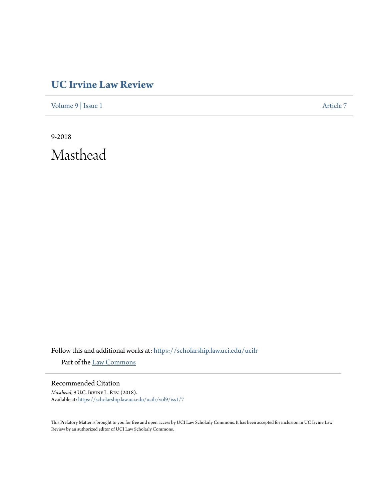## **[UC Irvine Law Review](https://scholarship.law.uci.edu/ucilr?utm_source=scholarship.law.uci.edu%2Fucilr%2Fvol9%2Fiss1%2F7&utm_medium=PDF&utm_campaign=PDFCoverPages)**

[Volume 9](https://scholarship.law.uci.edu/ucilr/vol9?utm_source=scholarship.law.uci.edu%2Fucilr%2Fvol9%2Fiss1%2F7&utm_medium=PDF&utm_campaign=PDFCoverPages) | [Issue 1](https://scholarship.law.uci.edu/ucilr/vol9/iss1?utm_source=scholarship.law.uci.edu%2Fucilr%2Fvol9%2Fiss1%2F7&utm_medium=PDF&utm_campaign=PDFCoverPages) [Article 7](https://scholarship.law.uci.edu/ucilr/vol9/iss1/7?utm_source=scholarship.law.uci.edu%2Fucilr%2Fvol9%2Fiss1%2F7&utm_medium=PDF&utm_campaign=PDFCoverPages)

9-2018 Masthead

Follow this and additional works at: [https://scholarship.law.uci.edu/ucilr](https://scholarship.law.uci.edu/ucilr?utm_source=scholarship.law.uci.edu%2Fucilr%2Fvol9%2Fiss1%2F7&utm_medium=PDF&utm_campaign=PDFCoverPages) Part of the [Law Commons](http://network.bepress.com/hgg/discipline/578?utm_source=scholarship.law.uci.edu%2Fucilr%2Fvol9%2Fiss1%2F7&utm_medium=PDF&utm_campaign=PDFCoverPages)

Recommended Citation

*Masthead*, 9 U.C. Irvine L. Rev. (2018). Available at: [https://scholarship.law.uci.edu/ucilr/vol9/iss1/7](https://scholarship.law.uci.edu/ucilr/vol9/iss1/7?utm_source=scholarship.law.uci.edu%2Fucilr%2Fvol9%2Fiss1%2F7&utm_medium=PDF&utm_campaign=PDFCoverPages)

This Prefatory Matter is brought to you for free and open access by UCI Law Scholarly Commons. It has been accepted for inclusion in UC Irvine Law Review by an authorized editor of UCI Law Scholarly Commons.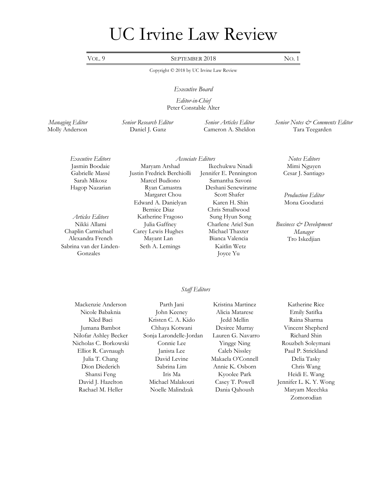# UC Irvine Law Review

VOL. 9 SEPTEMBER 2018 NO. 1

Copyright © 2018 by UC Irvine Law Review

## *Executive Board*

*Editor-in-Chief*  Peter Constable Alter

*Managing Editor Senior Research Editor Senior Articles Editor Senior Notes & Comments Editor* Molly Anderson Daniel J. Ganz Cameron A. Sheldon Tara Teegarden

 *Executive Editors Associate Editors Notes Editors* 

Nikki Allami Chaplin Carmichael Alexandra French Sabrina van der Linden-Gonzales

Jasmin Boodaie Maryam Arshad Ikechukwu Nnadi Mimi Nguyen Gabrielle Massé Justin Fredrick Berchiolli Jennifer E. Pennington Cesar J. Santiago Sarah Mikosz Marcel Budiono Samantha Savoni Hagop Nazarian Ryan Camastra Margaret Chou Edward A. Danielyan Bernice Diaz *Articles Editors* Katherine Fragoso Sung Hyun Song Julia Gaffney Carey Lewis Hughes Mayant Lan Seth A. Lemings Kaitlin Wetz

Deshani Senewiratne Scott Shafer *Production Editor* Karen H. Shin Chris Smallwood Charlene Ariel Sun Michael Thaxter Bianca Valencia Joyce Yu

Mona Goodarzi

*Business & Development Manager*  Tro Iskedjian

## *Staff Editors*

Mackenzie Anderson Parth Jani Kristina Martinez Katherine Rice

Nicole Babaknia John Keeney Alicia Matarese Emily Satifka Kled Baci Kristen C. A. Kido Jedd Mellin Raina Sharma Jumana Bambot Chhaya Kotwani Desiree Murray Vincent Shepherd Nilofar Ashley Becker Sonja Larondelle-Jordan Lauren G. Navarro Richard Shin Nicholas C. Borkowski Connie Lee Yingge Ning Rouzbeh Soleymani Elliot R. Cavnaugh Janista Lee Caleb Nissley Paul P. Strickland Julia T. Chang David Levine Makaela O'Connell Delia Tasky Dion Diederich Sabrina Lim Annie K. Osborn Chris Wang Shanxi Feng Iris Ma Kyoolee Park Heidi E. Wang David J. Hazelton Michael Malakouti Casey T. Powell Jennifer L. K. Y. Wong Rachael M. Heller Noelle Malindzak Dania Qahoush Maryam Meechka

Zomorodian